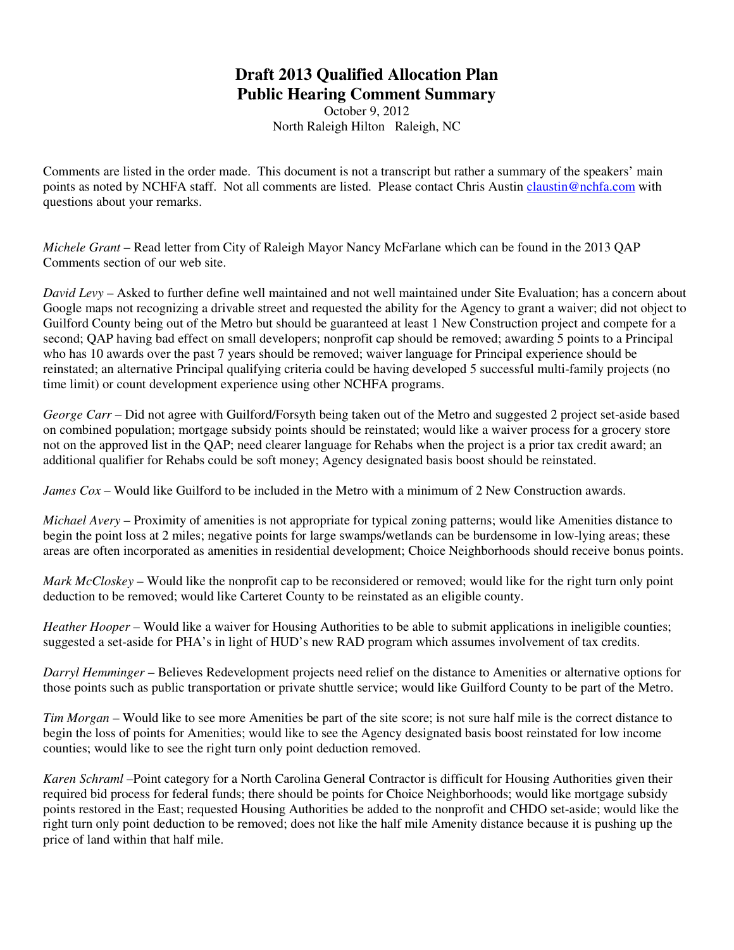## **Draft 2013 Qualified Allocation Plan Public Hearing Comment Summary**

October 9, 2012 North Raleigh Hilton Raleigh, NC

Comments are listed in the order made. This document is not a transcript but rather a summary of the speakers' main points as noted by NCHFA staff. Not all comments are listed. Please contact Chris Austin claustin@nchfa.com with questions about your remarks.

*Michele Grant* – Read letter from City of Raleigh Mayor Nancy McFarlane which can be found in the 2013 QAP Comments section of our web site.

*David Levy* – Asked to further define well maintained and not well maintained under Site Evaluation; has a concern about Google maps not recognizing a drivable street and requested the ability for the Agency to grant a waiver; did not object to Guilford County being out of the Metro but should be guaranteed at least 1 New Construction project and compete for a second; QAP having bad effect on small developers; nonprofit cap should be removed; awarding 5 points to a Principal who has 10 awards over the past 7 years should be removed; waiver language for Principal experience should be reinstated; an alternative Principal qualifying criteria could be having developed 5 successful multi-family projects (no time limit) or count development experience using other NCHFA programs.

*George Carr* – Did not agree with Guilford/Forsyth being taken out of the Metro and suggested 2 project set-aside based on combined population; mortgage subsidy points should be reinstated; would like a waiver process for a grocery store not on the approved list in the QAP; need clearer language for Rehabs when the project is a prior tax credit award; an additional qualifier for Rehabs could be soft money; Agency designated basis boost should be reinstated.

*James Cox* – Would like Guilford to be included in the Metro with a minimum of 2 New Construction awards.

*Michael Avery* – Proximity of amenities is not appropriate for typical zoning patterns; would like Amenities distance to begin the point loss at 2 miles; negative points for large swamps/wetlands can be burdensome in low-lying areas; these areas are often incorporated as amenities in residential development; Choice Neighborhoods should receive bonus points.

*Mark McCloskey* – Would like the nonprofit cap to be reconsidered or removed; would like for the right turn only point deduction to be removed; would like Carteret County to be reinstated as an eligible county.

*Heather Hooper* – Would like a waiver for Housing Authorities to be able to submit applications in ineligible counties; suggested a set-aside for PHA's in light of HUD's new RAD program which assumes involvement of tax credits.

*Darryl Hemminger* – Believes Redevelopment projects need relief on the distance to Amenities or alternative options for those points such as public transportation or private shuttle service; would like Guilford County to be part of the Metro.

*Tim Morgan* – Would like to see more Amenities be part of the site score; is not sure half mile is the correct distance to begin the loss of points for Amenities; would like to see the Agency designated basis boost reinstated for low income counties; would like to see the right turn only point deduction removed.

*Karen Schraml* –Point category for a North Carolina General Contractor is difficult for Housing Authorities given their required bid process for federal funds; there should be points for Choice Neighborhoods; would like mortgage subsidy points restored in the East; requested Housing Authorities be added to the nonprofit and CHDO set-aside; would like the right turn only point deduction to be removed; does not like the half mile Amenity distance because it is pushing up the price of land within that half mile.